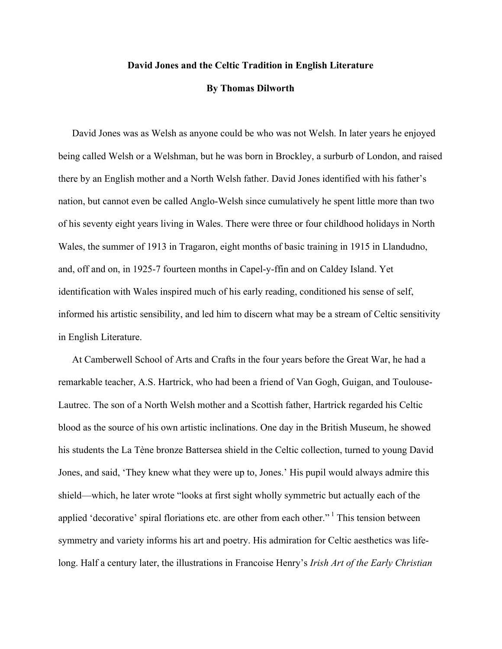## **David Jones and the Celtic Tradition in English Literature**

## **By Thomas Dilworth**

David Jones was as Welsh as anyone could be who was not Welsh. In later years he enjoyed being called Welsh or a Welshman, but he was born in Brockley, a surburb of London, and raised there by an English mother and a North Welsh father. David Jones identified with his father's nation, but cannot even be called Anglo-Welsh since cumulatively he spent little more than two of his seventy eight years living in Wales. There were three or four childhood holidays in North Wales, the summer of 1913 in Tragaron, eight months of basic training in 1915 in Llandudno, and, off and on, in 1925-7 fourteen months in Capel-y-ffin and on Caldey Island. Yet identification with Wales inspired much of his early reading, conditioned his sense of self, informed his artistic sensibility, and led him to discern what may be a stream of Celtic sensitivity in English Literature.

At Camberwell School of Arts and Crafts in the four years before the Great War, he had a remarkable teacher, A.S. Hartrick, who had been a friend of Van Gogh, Guigan, and Toulouse-Lautrec. The son of a North Welsh mother and a Scottish father, Hartrick regarded his Celtic blood as the source of his own artistic inclinations. One day in the British Museum, he showed his students the La Tène bronze Battersea shield in the Celtic collection, turned to young David Jones, and said, 'They knew what they were up to, Jones.' His pupil would always admire this shield—which, he later wrote "looks at first sight wholly symmetric but actually each of the applied 'decorative' spiral floriations etc. are other from each other."<sup>1</sup> This tension between symmetry and variety informs his art and poetry. His admiration for Celtic aesthetics was lifelong. Half a century later, the illustrations in Francoise Henry's *Irish Art of the Early Christian*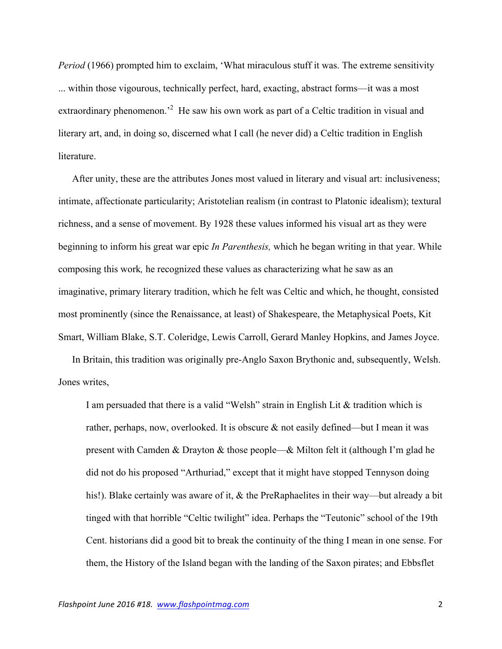*Period* (1966) prompted him to exclaim, 'What miraculous stuff it was. The extreme sensitivity ... within those vigourous, technically perfect, hard, exacting, abstract forms—it was a most extraordinary phenomenon.<sup>2</sup> He saw his own work as part of a Celtic tradition in visual and literary art, and, in doing so, discerned what I call (he never did) a Celtic tradition in English literature.

After unity, these are the attributes Jones most valued in literary and visual art: inclusiveness; intimate, affectionate particularity; Aristotelian realism (in contrast to Platonic idealism); textural richness, and a sense of movement. By 1928 these values informed his visual art as they were beginning to inform his great war epic *In Parenthesis,* which he began writing in that year. While composing this work*,* he recognized these values as characterizing what he saw as an imaginative, primary literary tradition, which he felt was Celtic and which, he thought, consisted most prominently (since the Renaissance, at least) of Shakespeare, the Metaphysical Poets, Kit Smart, William Blake, S.T. Coleridge, Lewis Carroll, Gerard Manley Hopkins, and James Joyce.

In Britain, this tradition was originally pre-Anglo Saxon Brythonic and, subsequently, Welsh. Jones writes,

I am persuaded that there is a valid "Welsh" strain in English Lit & tradition which is rather, perhaps, now, overlooked. It is obscure  $\&$  not easily defined—but I mean it was present with Camden & Drayton & those people—& Milton felt it (although I'm glad he did not do his proposed "Arthuriad," except that it might have stopped Tennyson doing his!). Blake certainly was aware of it, & the PreRaphaelites in their way—but already a bit tinged with that horrible "Celtic twilight" idea. Perhaps the "Teutonic" school of the 19th Cent. historians did a good bit to break the continuity of the thing I mean in one sense. For them, the History of the Island began with the landing of the Saxon pirates; and Ebbsflet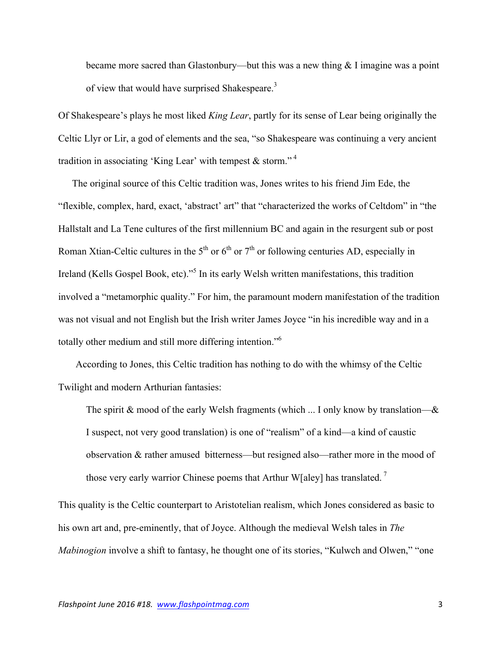became more sacred than Glastonbury—but this was a new thing  $&$  I imagine was a point of view that would have surprised Shakespeare.<sup>3</sup>

Of Shakespeare's plays he most liked *King Lear*, partly for its sense of Lear being originally the Celtic Llyr or Lir, a god of elements and the sea, "so Shakespeare was continuing a very ancient tradition in associating 'King Lear' with tempest  $\&$  storm."<sup>4</sup>

The original source of this Celtic tradition was, Jones writes to his friend Jim Ede, the "flexible, complex, hard, exact, 'abstract' art" that "characterized the works of Celtdom" in "the Hallstalt and La Tene cultures of the first millennium BC and again in the resurgent sub or post Roman Xtian-Celtic cultures in the  $5<sup>th</sup>$  or  $6<sup>th</sup>$  or  $7<sup>th</sup>$  or following centuries AD, especially in Ireland (Kells Gospel Book, etc)."<sup>5</sup> In its early Welsh written manifestations, this tradition involved a "metamorphic quality." For him, the paramount modern manifestation of the tradition was not visual and not English but the Irish writer James Joyce "in his incredible way and in a totally other medium and still more differing intention."<sup>6</sup>

According to Jones, this Celtic tradition has nothing to do with the whimsy of the Celtic Twilight and modern Arthurian fantasies:

The spirit  $\&$  mood of the early Welsh fragments (which ... I only know by translation— $\&$ I suspect, not very good translation) is one of "realism" of a kind—a kind of caustic observation & rather amused bitterness—but resigned also—rather more in the mood of those very early warrior Chinese poems that Arthur W[aley] has translated.<sup>7</sup>

This quality is the Celtic counterpart to Aristotelian realism, which Jones considered as basic to his own art and, pre-eminently, that of Joyce. Although the medieval Welsh tales in *The Mabinogion* involve a shift to fantasy, he thought one of its stories, "Kulwch and Olwen," "one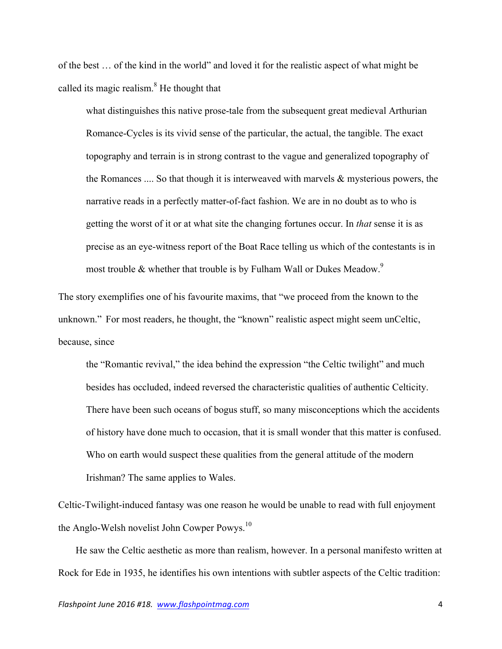of the best … of the kind in the world" and loved it for the realistic aspect of what might be called its magic realism. $8$  He thought that

what distinguishes this native prose-tale from the subsequent great medieval Arthurian Romance-Cycles is its vivid sense of the particular, the actual, the tangible. The exact topography and terrain is in strong contrast to the vague and generalized topography of the Romances .... So that though it is interweaved with marvels & mysterious powers, the narrative reads in a perfectly matter-of-fact fashion. We are in no doubt as to who is getting the worst of it or at what site the changing fortunes occur. In *that* sense it is as precise as an eye-witness report of the Boat Race telling us which of the contestants is in most trouble & whether that trouble is by Fulham Wall or Dukes Meadow.<sup>9</sup>

The story exemplifies one of his favourite maxims, that "we proceed from the known to the unknown." For most readers, he thought, the "known" realistic aspect might seem unCeltic, because, since

the "Romantic revival," the idea behind the expression "the Celtic twilight" and much besides has occluded, indeed reversed the characteristic qualities of authentic Celticity. There have been such oceans of bogus stuff, so many misconceptions which the accidents of history have done much to occasion, that it is small wonder that this matter is confused. Who on earth would suspect these qualities from the general attitude of the modern Irishman? The same applies to Wales.

Celtic-Twilight-induced fantasy was one reason he would be unable to read with full enjoyment the Anglo-Welsh novelist John Cowper Powys.<sup>10</sup>

He saw the Celtic aesthetic as more than realism, however. In a personal manifesto written at Rock for Ede in 1935, he identifies his own intentions with subtler aspects of the Celtic tradition: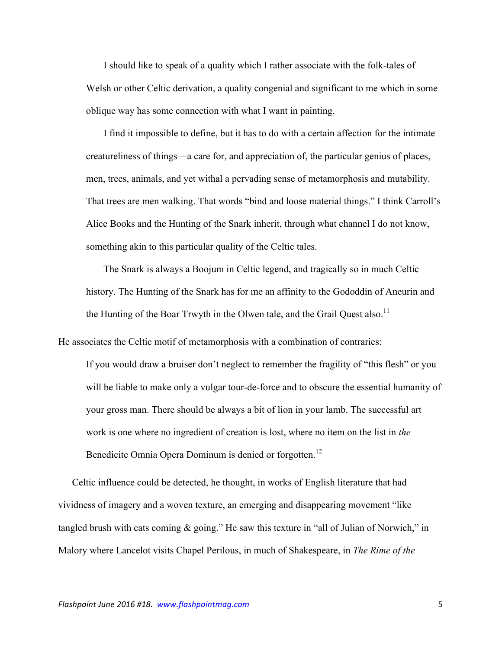I should like to speak of a quality which I rather associate with the folk-tales of Welsh or other Celtic derivation, a quality congenial and significant to me which in some oblique way has some connection with what I want in painting.

I find it impossible to define, but it has to do with a certain affection for the intimate creatureliness of things—a care for, and appreciation of, the particular genius of places, men, trees, animals, and yet withal a pervading sense of metamorphosis and mutability. That trees are men walking. That words "bind and loose material things." I think Carroll's Alice Books and the Hunting of the Snark inherit, through what channel I do not know, something akin to this particular quality of the Celtic tales.

The Snark is always a Boojum in Celtic legend, and tragically so in much Celtic history. The Hunting of the Snark has for me an affinity to the Gododdin of Aneurin and the Hunting of the Boar Trwyth in the Olwen tale, and the Grail Quest also.<sup>11</sup>

He associates the Celtic motif of metamorphosis with a combination of contraries:

If you would draw a bruiser don't neglect to remember the fragility of "this flesh" or you will be liable to make only a vulgar tour-de-force and to obscure the essential humanity of your gross man. There should be always a bit of lion in your lamb. The successful art work is one where no ingredient of creation is lost, where no item on the list in *the* Benedicite Omnia Opera Dominum is denied or forgotten.<sup>12</sup>

Celtic influence could be detected, he thought, in works of English literature that had vividness of imagery and a woven texture, an emerging and disappearing movement "like tangled brush with cats coming & going." He saw this texture in "all of Julian of Norwich," in Malory where Lancelot visits Chapel Perilous, in much of Shakespeare, in *The Rime of the*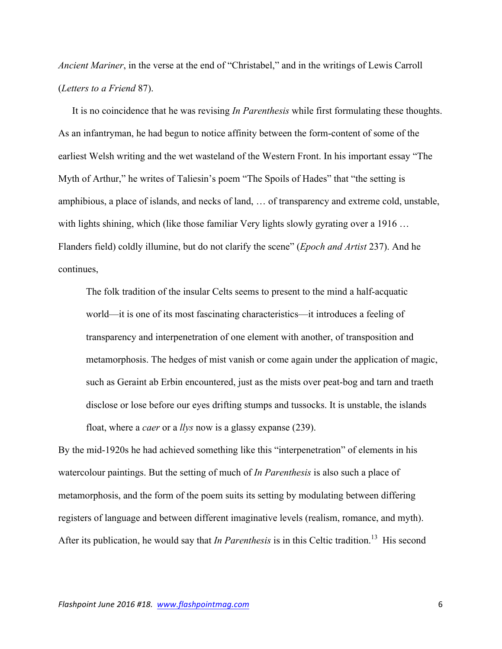*Ancient Mariner*, in the verse at the end of "Christabel," and in the writings of Lewis Carroll (*Letters to a Friend* 87).

It is no coincidence that he was revising *In Parenthesis* while first formulating these thoughts. As an infantryman, he had begun to notice affinity between the form-content of some of the earliest Welsh writing and the wet wasteland of the Western Front. In his important essay "The Myth of Arthur," he writes of Taliesin's poem "The Spoils of Hades" that "the setting is amphibious, a place of islands, and necks of land, … of transparency and extreme cold, unstable, with lights shining, which (like those familiar Very lights slowly gyrating over a 1916 ... Flanders field) coldly illumine, but do not clarify the scene" (*Epoch and Artist* 237). And he continues,

The folk tradition of the insular Celts seems to present to the mind a half-acquatic world—it is one of its most fascinating characteristics—it introduces a feeling of transparency and interpenetration of one element with another, of transposition and metamorphosis. The hedges of mist vanish or come again under the application of magic, such as Geraint ab Erbin encountered, just as the mists over peat-bog and tarn and traeth disclose or lose before our eyes drifting stumps and tussocks. It is unstable, the islands float, where a *caer* or a *llys* now is a glassy expanse (239).

By the mid-1920s he had achieved something like this "interpenetration" of elements in his watercolour paintings. But the setting of much of *In Parenthesis* is also such a place of metamorphosis, and the form of the poem suits its setting by modulating between differing registers of language and between different imaginative levels (realism, romance, and myth). After its publication, he would say that *In Parenthesis* is in this Celtic tradition.<sup>13</sup> His second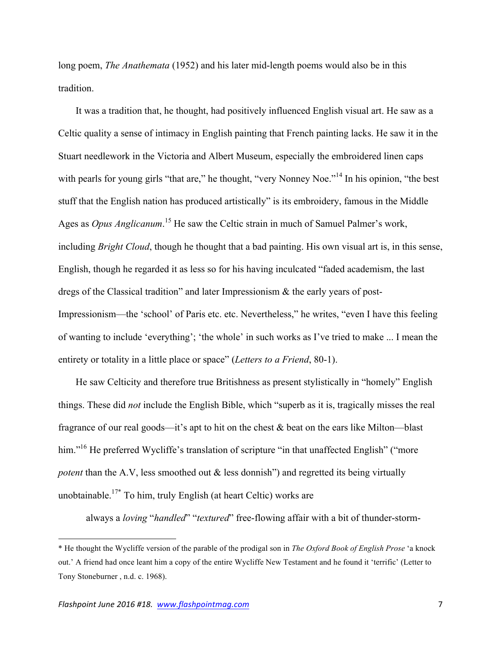long poem, *The Anathemata* (1952) and his later mid-length poems would also be in this tradition.

It was a tradition that, he thought, had positively influenced English visual art. He saw as a Celtic quality a sense of intimacy in English painting that French painting lacks. He saw it in the Stuart needlework in the Victoria and Albert Museum, especially the embroidered linen caps with pearls for young girls "that are," he thought, "very Nonney Noe."<sup>14</sup> In his opinion, "the best stuff that the English nation has produced artistically" is its embroidery, famous in the Middle Ages as *Opus Anglicanum*. <sup>15</sup> He saw the Celtic strain in much of Samuel Palmer's work, including *Bright Cloud*, though he thought that a bad painting. His own visual art is, in this sense, English, though he regarded it as less so for his having inculcated "faded academism, the last dregs of the Classical tradition" and later Impressionism & the early years of post-Impressionism—the 'school' of Paris etc. etc. Nevertheless," he writes, "even I have this feeling of wanting to include 'everything'; 'the whole' in such works as I've tried to make ... I mean the entirety or totality in a little place or space" (*Letters to a Friend*, 80-1).

He saw Celticity and therefore true Britishness as present stylistically in "homely" English things. These did *not* include the English Bible, which "superb as it is, tragically misses the real fragrance of our real goods—it's apt to hit on the chest & beat on the ears like Milton—blast him."<sup>16</sup> He preferred Wycliffe's translation of scripture "in that unaffected English" ("more *potent* than the A.V, less smoothed out & less donnish") and regretted its being virtually unobtainable.<sup>17\*</sup> To him, truly English (at heart Celtic) works are

always a *loving* "*handled*" "*textured*" free-flowing affair with a bit of thunder-storm-

!!!!!!!!!!!!!!!!!!!!!!!!!!!!!!!!!!!!!!!!!!!!!!!!!!!!!!!!!!!!

<sup>\*</sup> He thought the Wycliffe version of the parable of the prodigal son in *The Oxford Book of English Prose* 'a knock out.' A friend had once leant him a copy of the entire Wycliffe New Testament and he found it 'terrific' (Letter to Tony Stoneburner , n.d. c. 1968).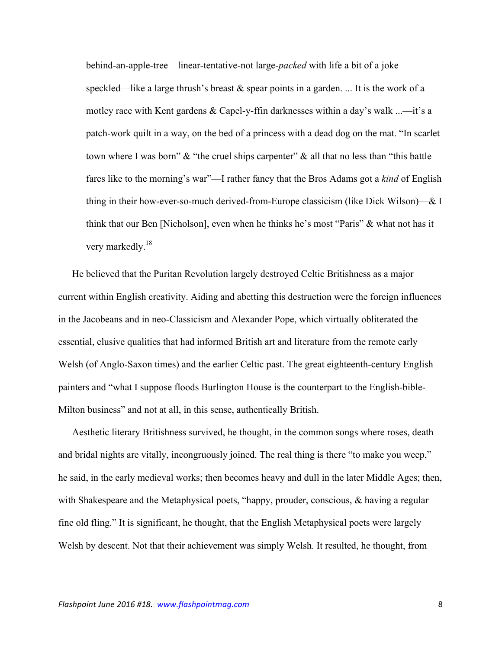behind-an-apple-tree—linear-tentative-not large-*packed* with life a bit of a joke speckled—like a large thrush's breast  $\&$  spear points in a garden. ... It is the work of a motley race with Kent gardens & Capel-y-ffin darknesses within a day's walk ...—it's a patch-work quilt in a way, on the bed of a princess with a dead dog on the mat. "In scarlet town where I was born" & "the cruel ships carpenter" & all that no less than "this battle fares like to the morning's war"—I rather fancy that the Bros Adams got a *kind* of English thing in their how-ever-so-much derived-from-Europe classicism (like Dick Wilson)—& I think that our Ben [Nicholson], even when he thinks he's most "Paris" & what not has it very markedly.<sup>18</sup>

He believed that the Puritan Revolution largely destroyed Celtic Britishness as a major current within English creativity. Aiding and abetting this destruction were the foreign influences in the Jacobeans and in neo-Classicism and Alexander Pope, which virtually obliterated the essential, elusive qualities that had informed British art and literature from the remote early Welsh (of Anglo-Saxon times) and the earlier Celtic past. The great eighteenth-century English painters and "what I suppose floods Burlington House is the counterpart to the English-bible-Milton business" and not at all, in this sense, authentically British.

Aesthetic literary Britishness survived, he thought, in the common songs where roses, death and bridal nights are vitally, incongruously joined. The real thing is there "to make you weep," he said, in the early medieval works; then becomes heavy and dull in the later Middle Ages; then, with Shakespeare and the Metaphysical poets, "happy, prouder, conscious, & having a regular fine old fling." It is significant, he thought, that the English Metaphysical poets were largely Welsh by descent. Not that their achievement was simply Welsh. It resulted, he thought, from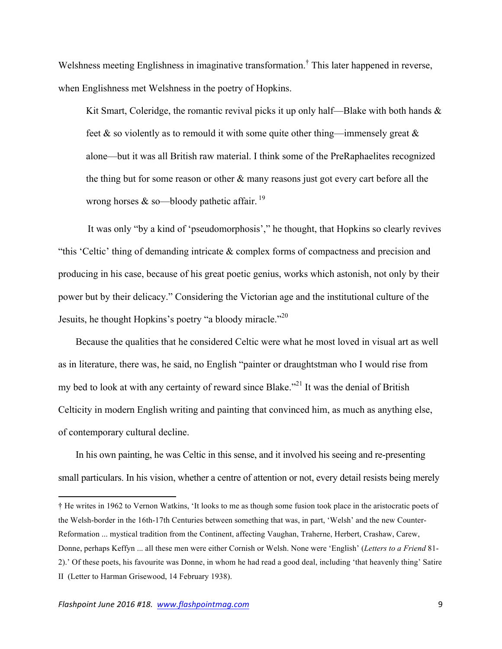Welshness meeting Englishness in imaginative transformation.<sup>†</sup> This later happened in reverse, when Englishness met Welshness in the poetry of Hopkins.

Kit Smart, Coleridge, the romantic revival picks it up only half—Blake with both hands  $\&$ feet  $\&$  so violently as to remould it with some quite other thing—immensely great  $\&$ alone—but it was all British raw material. I think some of the PreRaphaelites recognized the thing but for some reason or other & many reasons just got every cart before all the wrong horses  $&$  so—bloody pathetic affair.<sup>19</sup>

It was only "by a kind of 'pseudomorphosis'," he thought, that Hopkins so clearly revives "this 'Celtic' thing of demanding intricate & complex forms of compactness and precision and producing in his case, because of his great poetic genius, works which astonish, not only by their power but by their delicacy." Considering the Victorian age and the institutional culture of the Jesuits, he thought Hopkins's poetry "a bloody miracle."<sup>20</sup>

Because the qualities that he considered Celtic were what he most loved in visual art as well as in literature, there was, he said, no English "painter or draughtstman who I would rise from my bed to look at with any certainty of reward since Blake."<sup>21</sup> It was the denial of British Celticity in modern English writing and painting that convinced him, as much as anything else, of contemporary cultural decline.

In his own painting, he was Celtic in this sense, and it involved his seeing and re-presenting small particulars. In his vision, whether a centre of attention or not, every detail resists being merely

!!!!!!!!!!!!!!!!!!!!!!!!!!!!!!!!!!!!!!!!!!!!!!!!!!!!!!!!!!!!

<sup>†</sup> He writes in 1962 to Vernon Watkins, 'It looks to me as though some fusion took place in the aristocratic poets of the Welsh-border in the 16th-17th Centuries between something that was, in part, 'Welsh' and the new Counter-Reformation ... mystical tradition from the Continent, affecting Vaughan, Traherne, Herbert, Crashaw, Carew, Donne, perhaps Keffyn ... all these men were either Cornish or Welsh. None were 'English' (*Letters to a Friend* 81- 2).' Of these poets, his favourite was Donne, in whom he had read a good deal, including 'that heavenly thing' Satire II (Letter to Harman Grisewood, 14 February 1938).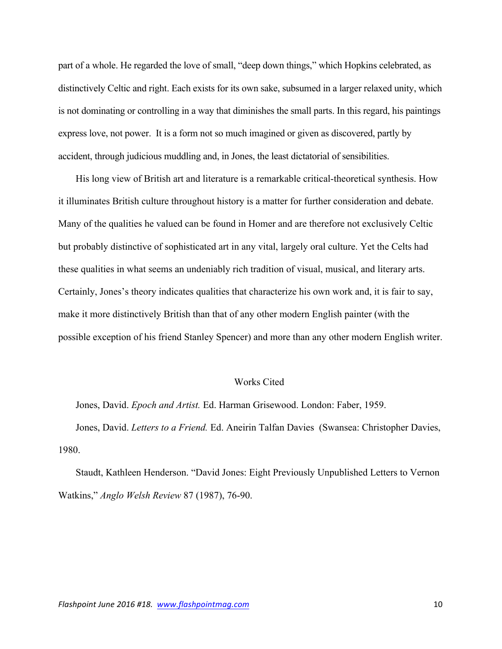part of a whole. He regarded the love of small, "deep down things," which Hopkins celebrated, as distinctively Celtic and right. Each exists for its own sake, subsumed in a larger relaxed unity, which is not dominating or controlling in a way that diminishes the small parts. In this regard, his paintings express love, not power. It is a form not so much imagined or given as discovered, partly by accident, through judicious muddling and, in Jones, the least dictatorial of sensibilities.

His long view of British art and literature is a remarkable critical-theoretical synthesis. How it illuminates British culture throughout history is a matter for further consideration and debate. Many of the qualities he valued can be found in Homer and are therefore not exclusively Celtic but probably distinctive of sophisticated art in any vital, largely oral culture. Yet the Celts had these qualities in what seems an undeniably rich tradition of visual, musical, and literary arts. Certainly, Jones's theory indicates qualities that characterize his own work and, it is fair to say, make it more distinctively British than that of any other modern English painter (with the possible exception of his friend Stanley Spencer) and more than any other modern English writer.

## Works Cited

Jones, David. *Epoch and Artist.* Ed. Harman Grisewood. London: Faber, 1959.

Jones, David. *Letters to a Friend.* Ed. Aneirin Talfan Davies (Swansea: Christopher Davies, 1980.

Staudt, Kathleen Henderson. "David Jones: Eight Previously Unpublished Letters to Vernon Watkins," *Anglo Welsh Review* 87 (1987), 76-90.